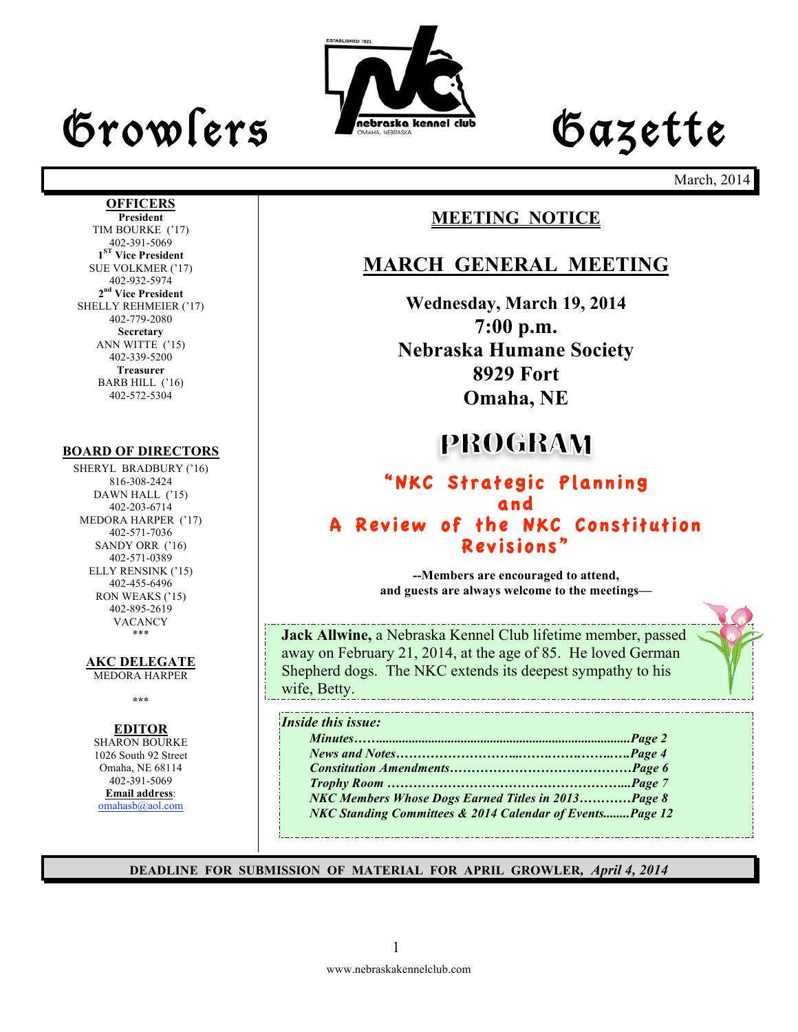## Growlers Lette

**OFFICERS President** TIM BOURKE ('17) 402-391-5069 **1ST Vice President** SUE VOLKMER ('17) 402-932-5974 **2nd Vice President** SHELLY REHMEIER ('17) 402-779-2080 **Secretary** ANN WITTE ('15) 402-339-5200 **Treasurer** BARB HILL ('16) 402-572-5304



March, 2014

#### **MEETING NOTICE**

#### **MARCH GENERAL MEETING**

**Wednesday, March 19, 2014 7:00 p.m. Nebraska Humane Society 8929 Fort Omaha, NE**

### **PROGRAM**

#### "NKC Strategic Planning and A Review of the NKC Constitution Revisions"

**--Members are encouraged to attend, and guests are always welcome to the meetings—**

**Jack Allwine,** a Nebraska Kennel Club lifetime member, passed away on February 21, 2014, at the age of 85. He loved German Shepherd dogs. The NKC extends its deepest sympathy to his wife, Betty.

#### *Inside this issue:*

| NKC Members Whose Dogs Earned Titles in 2013Page 8       |  |
|----------------------------------------------------------|--|
| NKC Standing Committees & 2014 Calendar of EventsPage 12 |  |

**DEADLINE FOR SUBMISSION OF MATERIAL FOR APRIL GROWLER***, April 4, 2014*

#### DAWN HALL ('15) 402-203-6714

MEDORA HARPER ('17) 402-571-7036 SANDY ORR ('16) 402-571-0389 ELLY RENSINK ('15) 402-455-6496 RON WEAKS ('15) 402-895-2619 VACANCY \*\*\*

**BOARD OF DIRECTORS** SHERYL BRADBURY ('16) 816-308-2424

**AKC DELEGATE** 

MEDORA HARPER

**\*\*\***

#### **EDITOR**

SHARON BOURKE 1026 South 92 Street Omaha, NE 68114 402-391-5069 **Email address**: omahasb@aol.com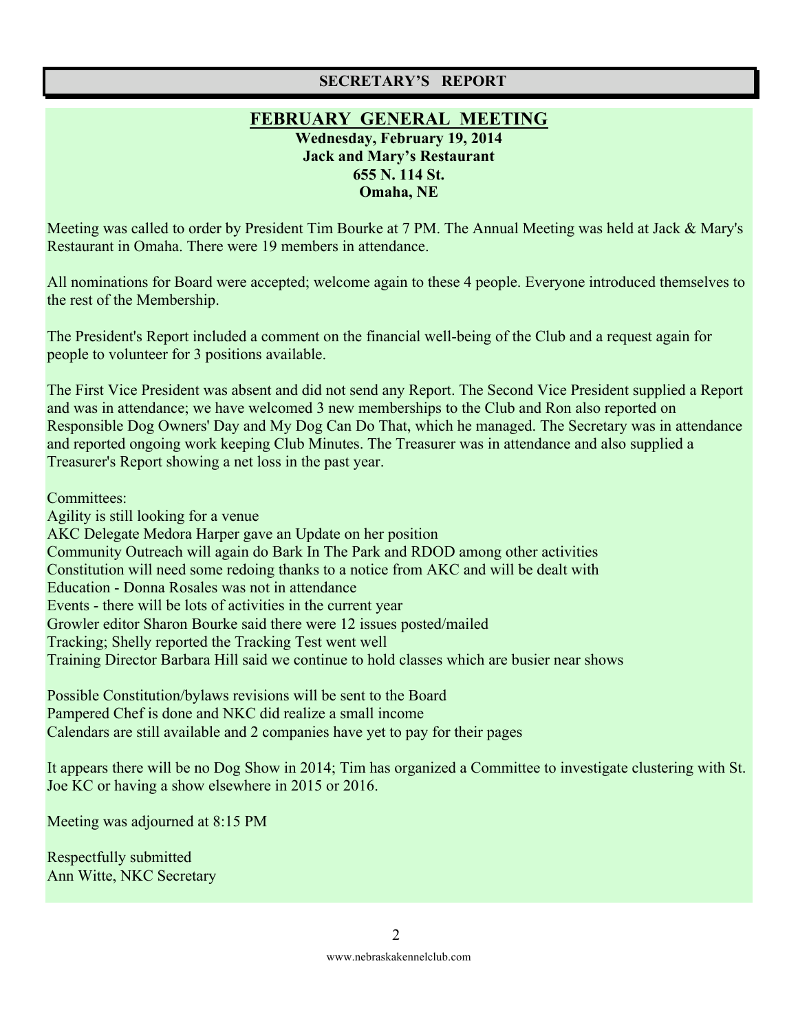#### **SECRETARY'S REPORT**

#### **FEBRUARY GENERAL MEETING Wednesday, February 19, 2014 Jack and Mary's Restaurant 655 N. 114 St. Omaha, NE**

Meeting was called to order by President Tim Bourke at 7 PM. The Annual Meeting was held at Jack & Mary's Restaurant in Omaha. There were 19 members in attendance.

All nominations for Board were accepted; welcome again to these 4 people. Everyone introduced themselves to the rest of the Membership.

The President's Report included a comment on the financial well-being of the Club and a request again for people to volunteer for 3 positions available.

The First Vice President was absent and did not send any Report. The Second Vice President supplied a Report and was in attendance; we have welcomed 3 new memberships to the Club and Ron also reported on Responsible Dog Owners' Day and My Dog Can Do That, which he managed. The Secretary was in attendance and reported ongoing work keeping Club Minutes. The Treasurer was in attendance and also supplied a Treasurer's Report showing a net loss in the past year.

Committees:

Agility is still looking for a venue AKC Delegate Medora Harper gave an Update on her position Community Outreach will again do Bark In The Park and RDOD among other activities Constitution will need some redoing thanks to a notice from AKC and will be dealt with Education - Donna Rosales was not in attendance Events - there will be lots of activities in the current year Growler editor Sharon Bourke said there were 12 issues posted/mailed Tracking; Shelly reported the Tracking Test went well Training Director Barbara Hill said we continue to hold classes which are busier near shows

Possible Constitution/bylaws revisions will be sent to the Board Pampered Chef is done and NKC did realize a small income Calendars are still available and 2 companies have yet to pay for their pages

It appears there will be no Dog Show in 2014; Tim has organized a Committee to investigate clustering with St. Joe KC or having a show elsewhere in 2015 or 2016.

Meeting was adjourned at 8:15 PM

Respectfully submitted Ann Witte, NKC Secretary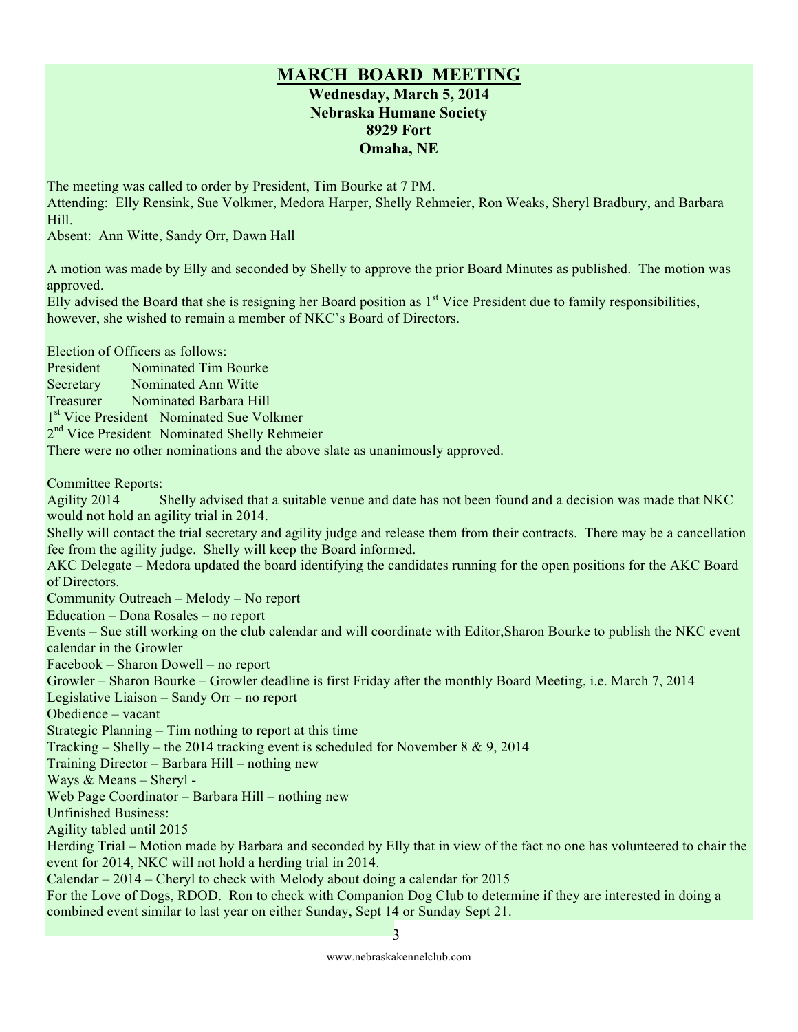#### **MARCH BOARD MEETING Wednesday, March 5, 2014 Nebraska Humane Society 8929 Fort Omaha, NE**

The meeting was called to order by President, Tim Bourke at 7 PM.

Attending: Elly Rensink, Sue Volkmer, Medora Harper, Shelly Rehmeier, Ron Weaks, Sheryl Bradbury, and Barbara Hill.

Absent: Ann Witte, Sandy Orr, Dawn Hall

A motion was made by Elly and seconded by Shelly to approve the prior Board Minutes as published. The motion was approved.

Elly advised the Board that she is resigning her Board position as  $1<sup>st</sup>$  Vice President due to family responsibilities, however, she wished to remain a member of NKC's Board of Directors.

Election of Officers as follows:

President Nominated Tim Bourke

Secretary Nominated Ann Witte

Treasurer Nominated Barbara Hill

1<sup>st</sup> Vice President Nominated Sue Volkmer

 $2<sup>nd</sup>$  Vice President Nominated Shelly Rehmeier

There were no other nominations and the above slate as unanimously approved.

Committee Reports:

Agility 2014 Shelly advised that a suitable venue and date has not been found and a decision was made that NKC would not hold an agility trial in 2014.

Shelly will contact the trial secretary and agility judge and release them from their contracts. There may be a cancellation fee from the agility judge. Shelly will keep the Board informed.

AKC Delegate – Medora updated the board identifying the candidates running for the open positions for the AKC Board of Directors.

Community Outreach – Melody – No report

Education – Dona Rosales – no report

Events – Sue still working on the club calendar and will coordinate with Editor,Sharon Bourke to publish the NKC event calendar in the Growler

Facebook – Sharon Dowell – no report

Growler – Sharon Bourke – Growler deadline is first Friday after the monthly Board Meeting, i.e. March 7, 2014

Legislative Liaison – Sandy Orr – no report

Obedience – vacant

Strategic Planning – Tim nothing to report at this time

Tracking – Shelly – the 2014 tracking event is scheduled for November 8  $\& 9, 2014$ 

Training Director – Barbara Hill – nothing new

Ways & Means – Sheryl -

Web Page Coordinator – Barbara Hill – nothing new

Unfinished Business:

Agility tabled until 2015

Herding Trial – Motion made by Barbara and seconded by Elly that in view of the fact no one has volunteered to chair the event for 2014, NKC will not hold a herding trial in 2014.

Calendar – 2014 – Cheryl to check with Melody about doing a calendar for 2015

For the Love of Dogs, RDOD. Ron to check with Companion Dog Club to determine if they are interested in doing a combined event similar to last year on either Sunday, Sept 14 or Sunday Sept 21.

3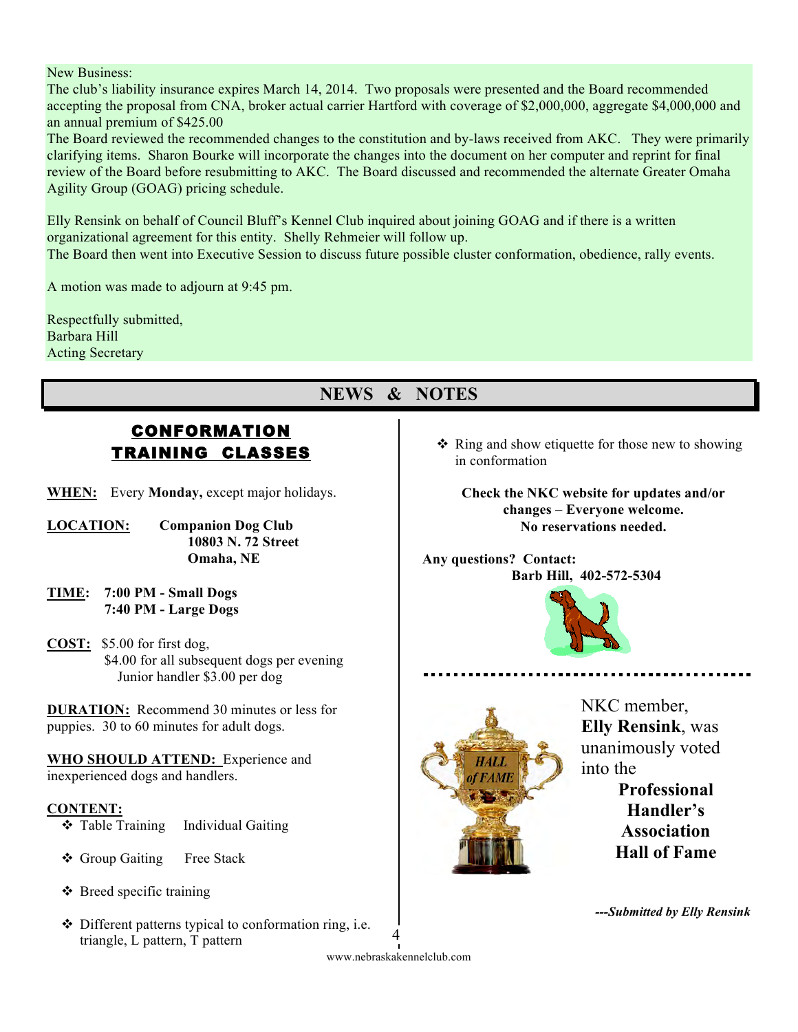New Business:

The club's liability insurance expires March 14, 2014. Two proposals were presented and the Board recommended accepting the proposal from CNA, broker actual carrier Hartford with coverage of \$2,000,000, aggregate \$4,000,000 and an annual premium of \$425.00

The Board reviewed the recommended changes to the constitution and by-laws received from AKC. They were primarily clarifying items. Sharon Bourke will incorporate the changes into the document on her computer and reprint for final review of the Board before resubmitting to AKC. The Board discussed and recommended the alternate Greater Omaha Agility Group (GOAG) pricing schedule.

Elly Rensink on behalf of Council Bluff's Kennel Club inquired about joining GOAG and if there is a written organizational agreement for this entity. Shelly Rehmeier will follow up.

The Board then went into Executive Session to discuss future possible cluster conformation, obedience, rally events.

A motion was made to adjourn at 9:45 pm.

Respectfully submitted, Barbara Hill Acting Secretary

#### **NEWS & NOTES**

#### CONFORMATION TRAINING CLASSES

- **WHEN:** Every **Monday,** except major holidays.
- **LOCATION: Companion Dog Club 10803 N. 72 Street Omaha, NE**
- **TIME: 7:00 PM Small Dogs 7:40 PM - Large Dogs**
- **COST:** \$5.00 for first dog, \$4.00 for all subsequent dogs per evening Junior handler \$3.00 per dog

**DURATION:** Recommend 30 minutes or less for puppies. 30 to 60 minutes for adult dogs.

**WHO SHOULD ATTEND:** Experience and inexperienced dogs and handlers.

#### **CONTENT:**

- **❖** Table Training Individual Gaiting
- ❖ Group Gaiting Free Stack
- $\triangle$  Breed specific training
- $\triangle$  Different patterns typical to conformation ring, i.e. triangle, L pattern, T pattern

 $\triangle$  Ring and show etiquette for those new to showing in conformation

**Check the NKC website for updates and/or changes – Everyone welcome. No reservations needed.**

**Any questions? Contact: Barb Hill, 402-572-5304**





NKC member, **Elly Rensink**, was unanimously voted into the

> **Professional Handler's Association Hall of Fame**

*---Submitted by Elly Rensink*

www.nebraskakennelclub.com 4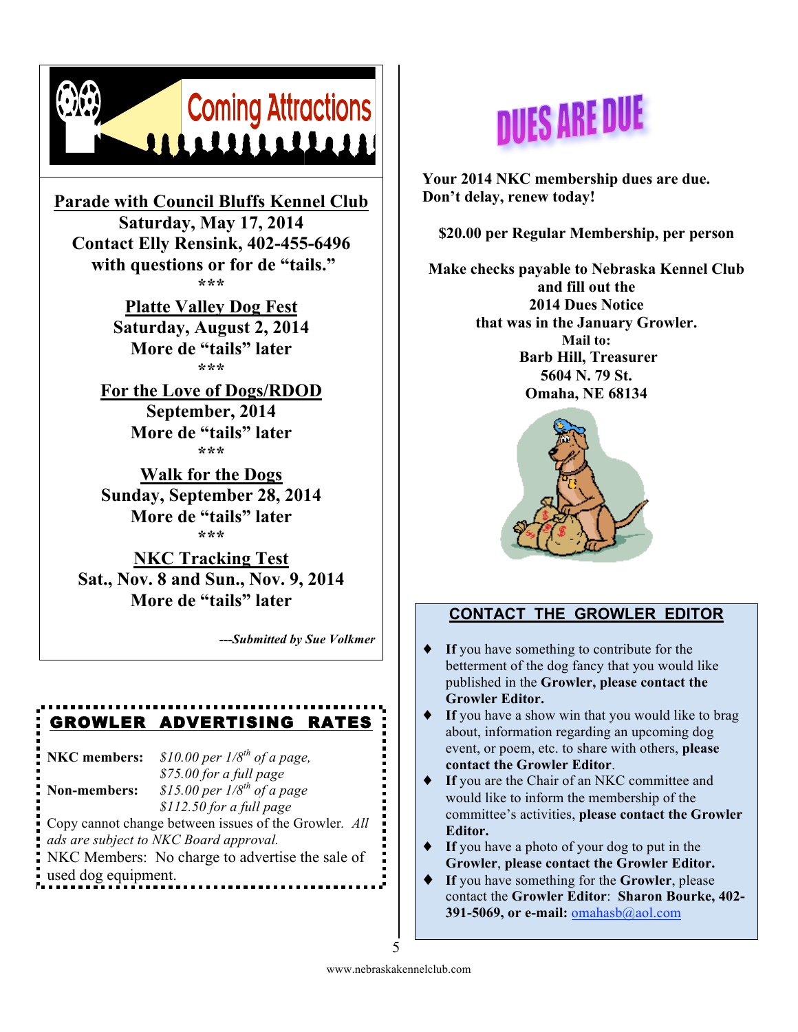

**Parade with Council Bluffs Kennel Club Saturday, May 17, 2014 Contact Elly Rensink, 402-455-6496 with questions or for de "tails." \*\*\***

> **Platte Valley Dog Fest Saturday, August 2, 2014 More de "tails" later \*\*\***

**For the Love of Dogs/RDOD September, 2014 More de "tails" later \*\*\***

**Walk for the Dogs Sunday, September 28, 2014 More de "tails" later \*\*\***

**NKC Tracking Test Sat., Nov. 8 and Sun., Nov. 9, 2014 More de "tails" later**

*---Submitted by Sue Volkmer*

#### GROWLER ADVERTISING RATES

**NKC members:** *\$10.00 per 1/8th of a page, \$75.00 for a full page*  **Non-members:** *\$15.00 per 1/8th of a page*

*\$112.50 for a full page* Copy cannot change between issues of the Growler*. All ads are subject to NKC Board approval.*

NKC Members: No charge to advertise the sale of used dog equipment.

# **DUES ARE DUE**

**Your 2014 NKC membership dues are due. Don't delay, renew today!**

**\$20.00 per Regular Membership, per person**

**Make checks payable to Nebraska Kennel Club and fill out the 2014 Dues Notice that was in the January Growler. Mail to: Barb Hill, Treasurer 5604 N. 79 St. Omaha, NE 68134**



#### **CONTACT THE GROWLER EDITOR**

- If you have something to contribute for the betterment of the dog fancy that you would like published in the **Growler, please contact the Growler Editor.**
- If you have a show win that you would like to brag about, information regarding an upcoming dog event, or poem, etc. to share with others, **please contact the Growler Editor**.
- If you are the Chair of an NKC committee and would like to inform the membership of the committee's activities, **please contact the Growler Editor.**
- ♦ **If** you have a photo of your dog to put in the **Growler**, **please contact the Growler Editor.**
- ♦ **If** you have something for the **Growler**, please contact the **Growler Editor**: **Sharon Bourke, 402- 391-5069, or e-mail:** omahasb@aol.com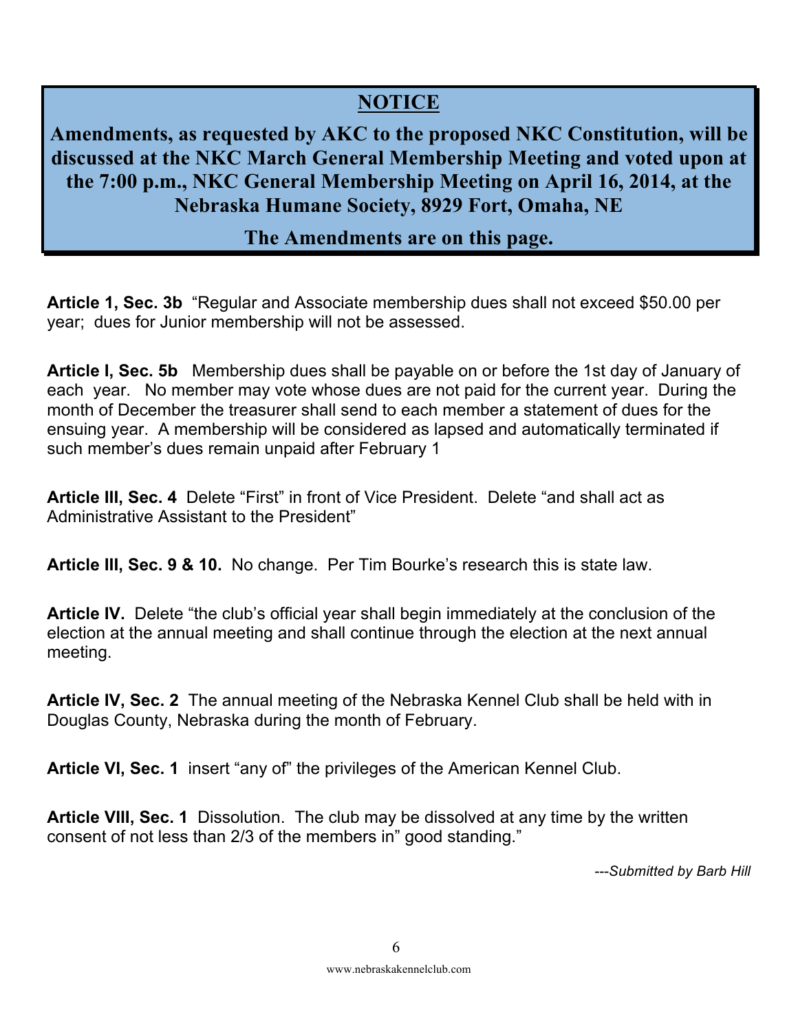#### **NOTICE**

**Amendments, as requested by AKC to the proposed NKC Constitution, will be discussed at the NKC March General Membership Meeting and voted upon at the 7:00 p.m., NKC General Membership Meeting on April 16, 2014, at the Nebraska Humane Society, 8929 Fort, Omaha, NE** 

#### **The Amendments are on this page.**

**Article 1, Sec. 3b** "Regular and Associate membership dues shall not exceed \$50.00 per year; dues for Junior membership will not be assessed.

**Article I, Sec. 5b** Membership dues shall be payable on or before the 1st day of January of each year. No member may vote whose dues are not paid for the current year. During the month of December the treasurer shall send to each member a statement of dues for the ensuing year. A membership will be considered as lapsed and automatically terminated if such member's dues remain unpaid after February 1

**Article III, Sec. 4** Delete "First" in front of Vice President. Delete "and shall act as Administrative Assistant to the President"

**Article III, Sec. 9 & 10.** No change. Per Tim Bourke's research this is state law.

**Article IV.** Delete "the club's official year shall begin immediately at the conclusion of the election at the annual meeting and shall continue through the election at the next annual meeting.

**Article IV, Sec. 2** The annual meeting of the Nebraska Kennel Club shall be held with in Douglas County, Nebraska during the month of February.

**Article VI, Sec. 1** insert "any of" the privileges of the American Kennel Club.

**Article VIII, Sec. 1** Dissolution. The club may be dissolved at any time by the written consent of not less than 2/3 of the members in" good standing."

*---Submitted by Barb Hill*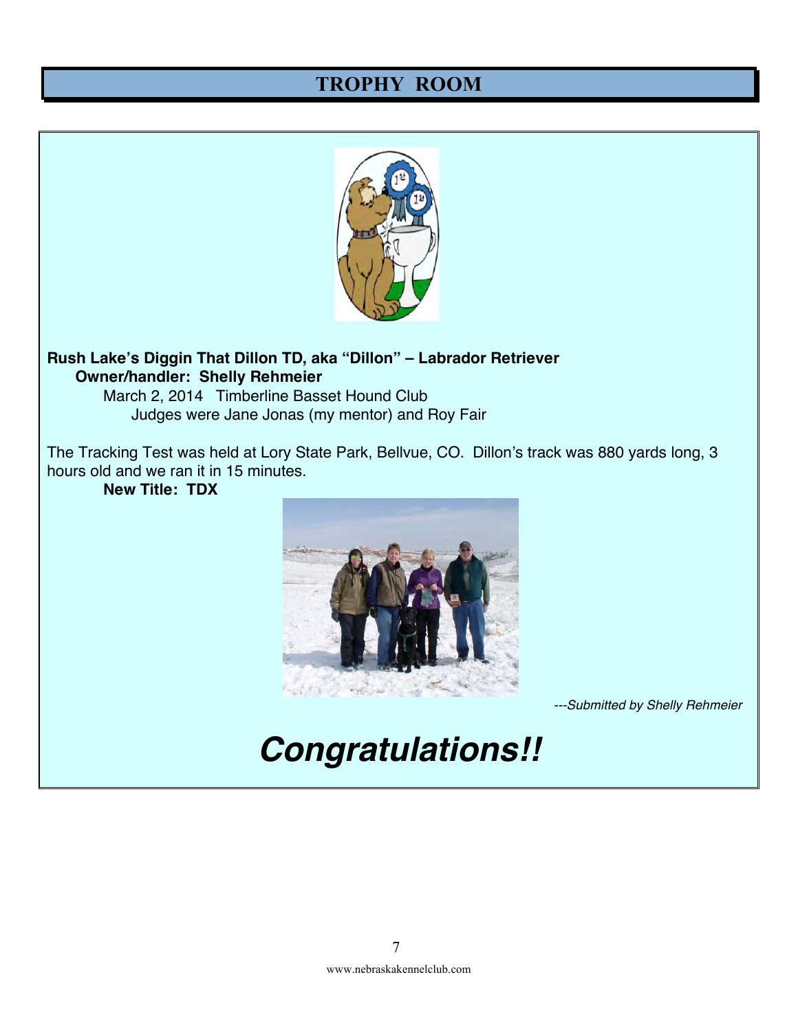#### **TROPHY ROOM**



#### **Rush Lake's Diggin That Dillon TD, aka "Dillon" – Labrador Retriever Owner/handler: Shelly Rehmeier**

March 2, 2014 Timberline Basset Hound Club Judges were Jane Jonas (my mentor) and Roy Fair

The Tracking Test was held at Lory State Park, Bellvue, CO. Dillon's track was 880 yards long, 3 hours old and we ran it in 15 minutes.

**New Title: TDX**



*---Submitted by Shelly Rehmeier*

## *Congratulations!!*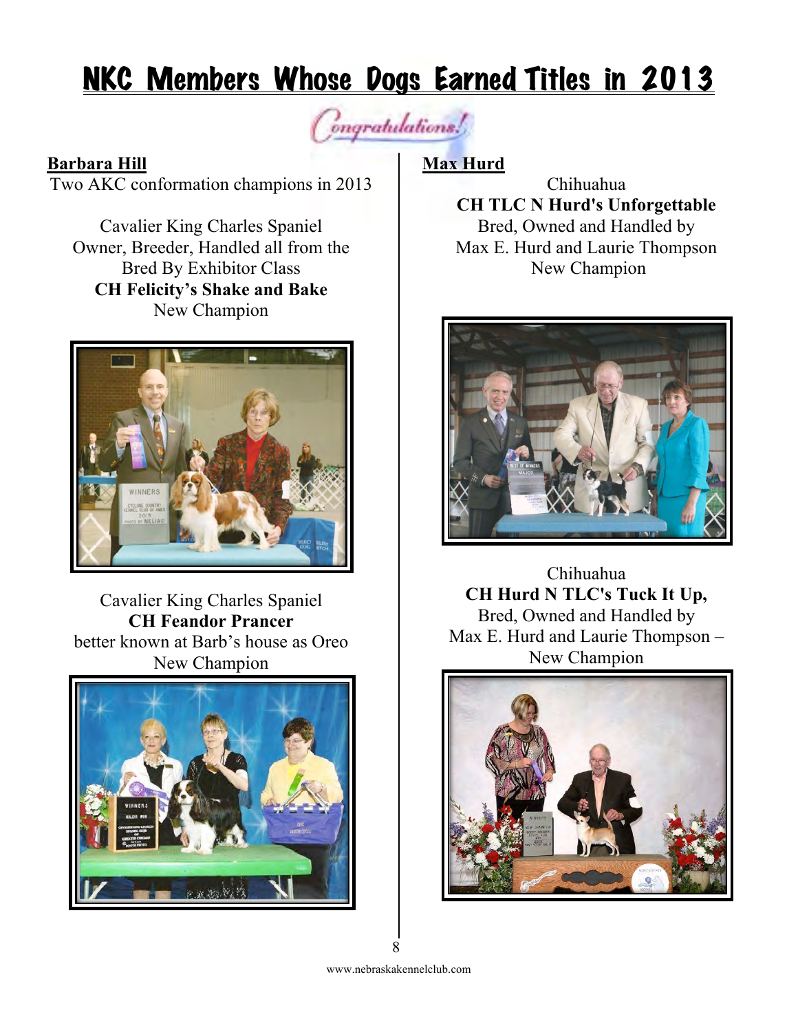## NKC Members Whose Dogs Earned Titles in 2013

ongratulations!

#### **Barbara Hill**

Two AKC conformation champions in 2013

Cavalier King Charles Spaniel Owner, Breeder, Handled all from the Bred By Exhibitor Class **CH Felicity's Shake and Bake** New Champion



Cavalier King Charles Spaniel **CH Feandor Prancer**  better known at Barb's house as Oreo New Champion



#### **Max Hurd**

Chihuahua **CH TLC N Hurd's Unforgettable** Bred, Owned and Handled by Max E. Hurd and Laurie Thompson New Champion



Chihuahua **CH Hurd N TLC's Tuck It Up,** Bred, Owned and Handled by Max E. Hurd and Laurie Thompson – New Champion

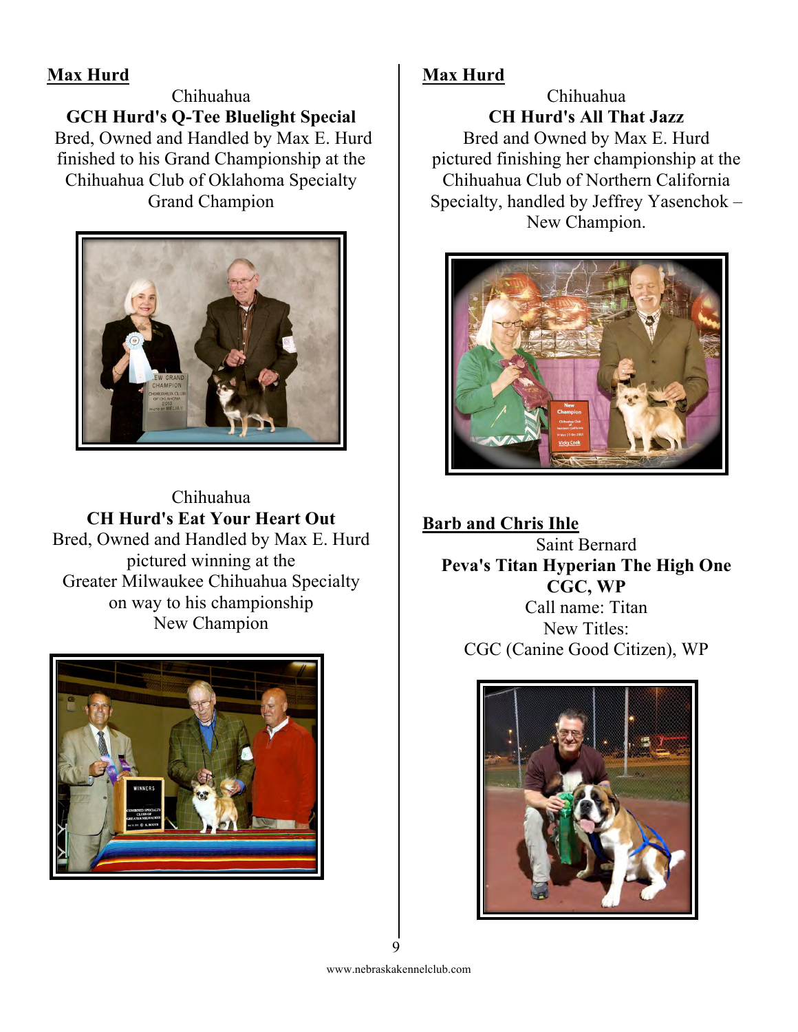#### **Max Hurd**

Chihuahua **GCH Hurd's Q-Tee Bluelight Special** Bred, Owned and Handled by Max E. Hurd finished to his Grand Championship at the Chihuahua Club of Oklahoma Specialty Grand Champion



Chihuahua **CH Hurd's Eat Your Heart Out** Bred, Owned and Handled by Max E. Hurd pictured winning at the Greater Milwaukee Chihuahua Specialty on way to his championship New Champion



#### **Max Hurd**

Chihuahua **CH Hurd's All That Jazz** Bred and Owned by Max E. Hurd pictured finishing her championship at the Chihuahua Club of Northern California Specialty, handled by Jeffrey Yasenchok – New Champion.



**Barb and Chris Ihle** Saint Bernard **Peva's Titan Hyperian The High One CGC, WP** Call name: Titan New Titles: CGC (Canine Good Citizen), WP

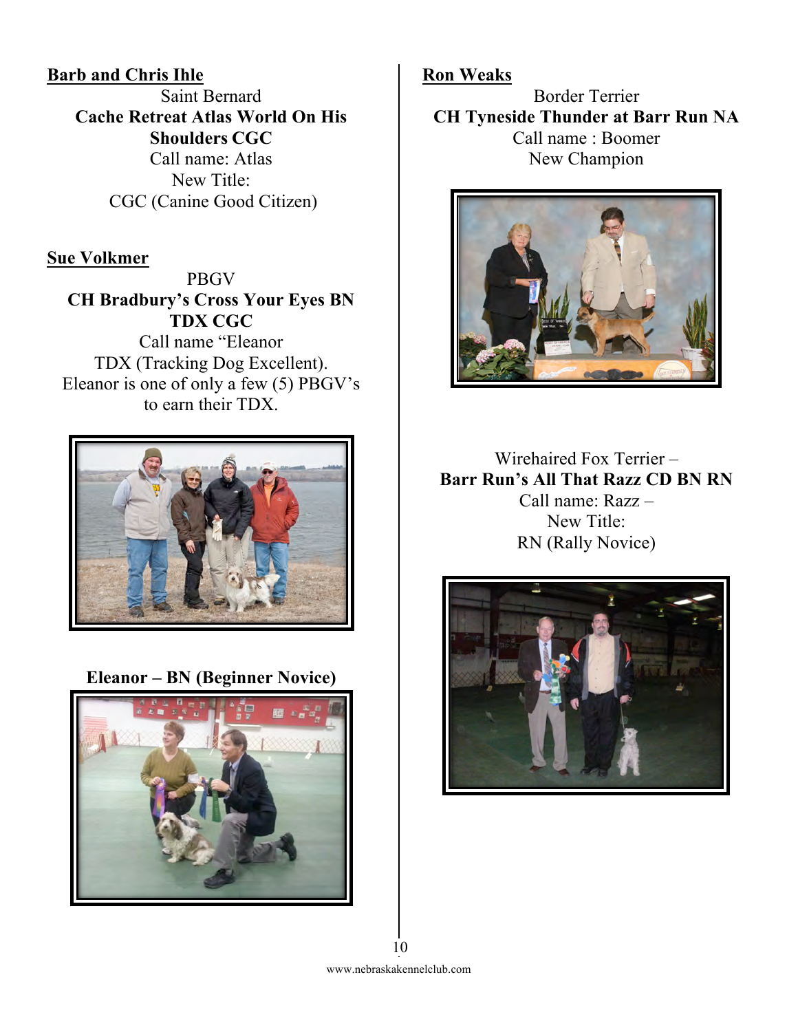#### **Barb and Chris Ihle**

Saint Bernard **Cache Retreat Atlas World On His Shoulders CGC** Call name: Atlas New Title: CGC (Canine Good Citizen)

#### **Sue Volkmer**

PBGV **CH Bradbury's Cross Your Eyes BN TDX CGC** Call name "Eleanor TDX (Tracking Dog Excellent). Eleanor is one of only a few (5) PBGV's to earn their TDX.



**Eleanor – BN (Beginner Novice)**



#### **Ron Weaks**

Border Terrier **CH Tyneside Thunder at Barr Run NA** Call name : Boomer New Champion



Wirehaired Fox Terrier – **Barr Run's All That Razz CD BN RN** Call name: Razz – New Title: RN (Rally Novice)

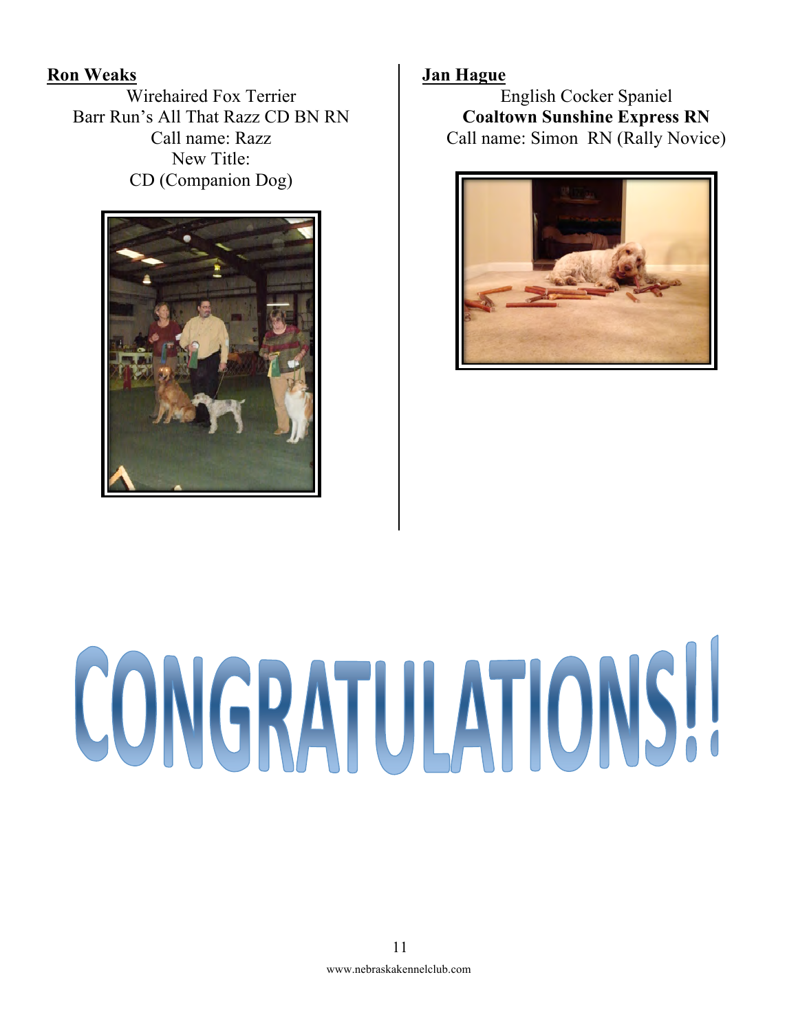**Ron Weaks**

Wirehaired Fox Terrier Barr Run's All That Razz CD BN RN Call name: Razz New Title: CD (Companion Dog)



#### **Jan Hague**

English Cocker Spaniel **Coaltown Sunshine Express RN** Call name: Simon RN (Rally Novice)



# CONGRATULATIONS!!